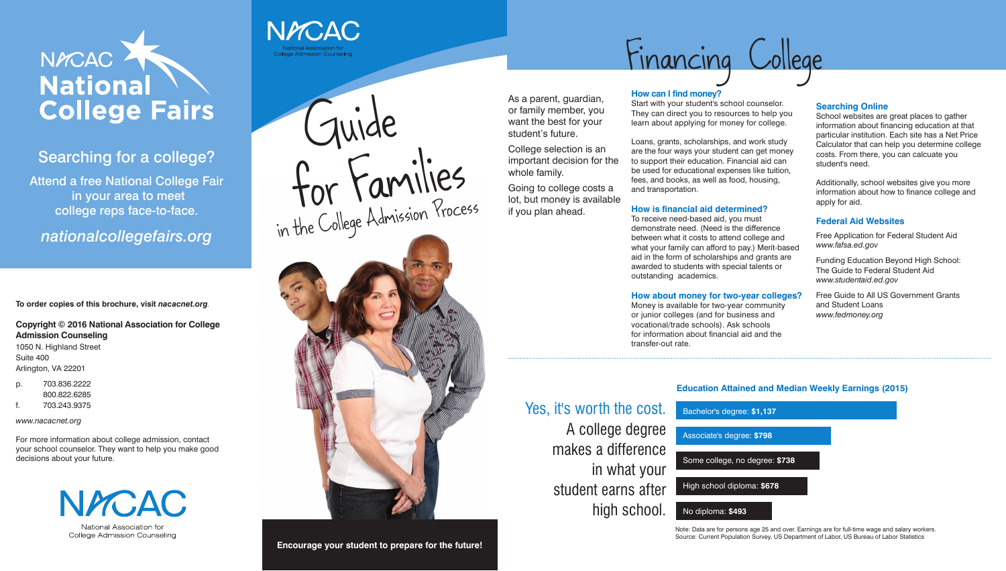

## Searching for a college?

Attend a free National College Fair in your area to meet college reps face-to-face.

*nationalcollegefairs.org* 

**To order copies of this brochure, visit** *nacacnet.org.*

**Copyright © 2016 National Association for College Admission Counseling** 1050 N. Highland Street Suite 400

Arlington, VA 22201

- p. 703.836.2222 800.822.6285
- f. 703.243.9375

*www.nacacnet.org*

For more information about college admission, contact your school counselor. They want to help you make good decisions about your future.



College Admission Counseling



### **How can I find money?**

Start with your student's school counselor. They can direct you to resources to help you learn about applying for money for college.

Loans, grants, scholarships, and work study are the four ways your student can get money to support their education. Financial aid can be used for educational expenses like tuition, fees, and books, as well as food, housing, and transportation.

#### **How is financial aid determined?**

To receive need-based aid, you must demonstrate need. (Need is the difference between what it costs to attend college and what your family can afford to pay.) Merit-based aid in the form of scholarships and grants are awarded to students with special talents or outstanding academics.

Guide for Families in the College Admission Process



#### **How about money for two-year colleges?**

Money is available for two-year community or junior colleges (and for business and vocational/trade schools). Ask schools for information about financial aid and the transfer-out rate.

#### **Searching Online**

School websites are great places to gather information about financing education at that particular institution. Each site has a Net Price Calculator that can help you determine college costs. From there, you can calcuate you student's need.

Additionally, school websites give you more information about how to finance college and apply for aid.

### **Federal Aid Websites**

Free Application for Federal Student Aid *www.fafsa.ed.gov*

Funding Education Beyond High School: The Guide to Federal Student Aid *www.studentaid.ed.gov*

Free Guide to All US Government Grants and Student Loans *www.fedmoney.org*



As a parent, guardian, or family member, you want the best for your student's future.

College selection is an important decision for the whole family.

Going to college costs a lot, but money is available if you plan ahead.

# Financing College

## **Education Attained and Median Weekly Earnings (2015)**

Yes, it's worth the cost. A college degree makes a difference in what your student earns after high school. Bachelor's degree: **\$1,137** Associate's degree: **\$798** Some college, no degree: **\$738** High school diploma: **\$678** No diploma: **\$493**

> Note: Data are for persons age 25 and over. Earnings are for full-time wage and salary workers. Source: Current Population Survey, US Department of Labor, US Bureau of Labor Statistics